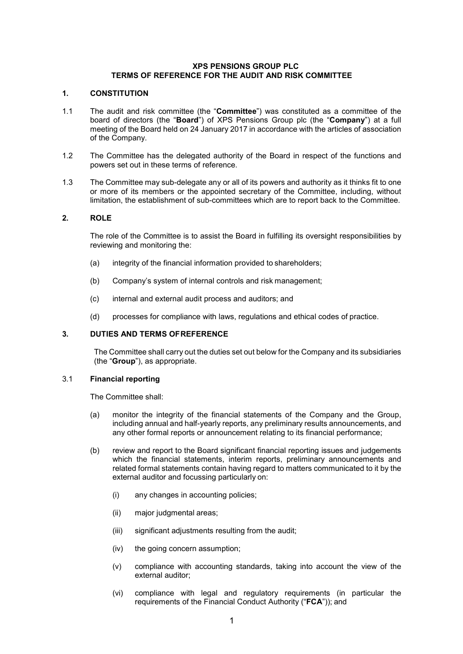#### **XPS PENSIONS GROUP PLC TERMS OF REFERENCE FOR THE AUDIT AND RISK COMMITTEE**

## **1. CONSTITUTION**

- 1.1 The audit and risk committee (the "**Committee**") was constituted as a committee of the board of directors (the "**Board**") of XPS Pensions Group plc (the "**Company**") at a full meeting of the Board held on 24 January 2017 in accordance with the articles of association of the Company.
- 1.2 The Committee has the delegated authority of the Board in respect of the functions and powers set out in these terms of reference.
- 1.3 The Committee may sub-delegate any or all of its powers and authority as it thinks fit to one or more of its members or the appointed secretary of the Committee, including, without limitation, the establishment of sub-committees which are to report back to the Committee.

## **2. ROLE**

The role of the Committee is to assist the Board in fulfilling its oversight responsibilities by reviewing and monitoring the:

- (a) integrity of the financial information provided to shareholders;
- (b) Company's system of internal controls and risk management;
- (c) internal and external audit process and auditors; and
- (d) processes for compliance with laws, regulations and ethical codes of practice.

## **3. DUTIES AND TERMS OFREFERENCE**

The Committee shall carry out the duties set out below for the Company and its subsidiaries (the "**Group**"), as appropriate.

#### 3.1 **Financial reporting**

The Committee shall:

- (a) monitor the integrity of the financial statements of the Company and the Group, including annual and half-yearly reports, any preliminary results announcements, and any other formal reports or announcement relating to its financial performance;
- (b) review and report to the Board significant financial reporting issues and judgements which the financial statements, interim reports, preliminary announcements and related formal statements contain having regard to matters communicated to it by the external auditor and focussing particularly on:
	- (i) any changes in accounting policies;
	- (ii) major judgmental areas;
	- (iii) significant adjustments resulting from the audit;
	- (iv) the going concern assumption;
	- (v) compliance with accounting standards, taking into account the view of the external auditor;
	- (vi) compliance with legal and regulatory requirements (in particular the requirements of the Financial Conduct Authority ("**FCA**")); and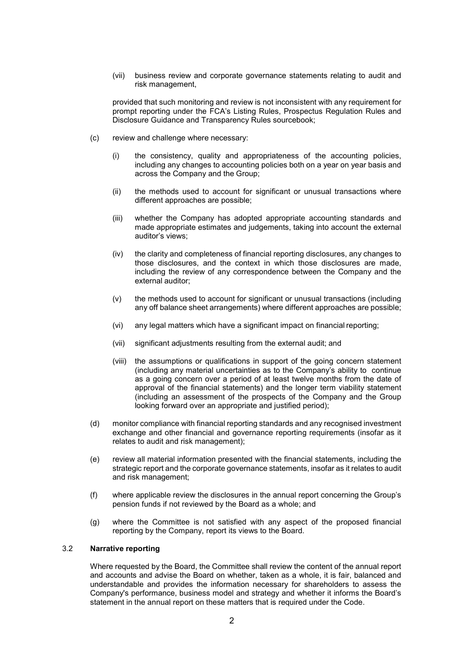(vii) business review and corporate governance statements relating to audit and risk management,

provided that such monitoring and review is not inconsistent with any requirement for prompt reporting under the FCA's Listing Rules, Prospectus Regulation Rules and Disclosure Guidance and Transparency Rules sourcebook;

- (c) review and challenge where necessary:
	- (i) the consistency, quality and appropriateness of the accounting policies, including any changes to accounting policies both on a year on year basis and across the Company and the Group;
	- (ii) the methods used to account for significant or unusual transactions where different approaches are possible;
	- (iii) whether the Company has adopted appropriate accounting standards and made appropriate estimates and judgements, taking into account the external auditor's views;
	- (iv) the clarity and completeness of financial reporting disclosures, any changes to those disclosures, and the context in which those disclosures are made, including the review of any correspondence between the Company and the external auditor;
	- (v) the methods used to account for significant or unusual transactions (including any off balance sheet arrangements) where different approaches are possible;
	- (vi) any legal matters which have a significant impact on financial reporting;
	- (vii) significant adjustments resulting from the external audit; and
	- (viii) the assumptions or qualifications in support of the going concern statement (including any material uncertainties as to the Company's ability to continue as a going concern over a period of at least twelve months from the date of approval of the financial statements) and the longer term viability statement (including an assessment of the prospects of the Company and the Group looking forward over an appropriate and justified period);
- (d) monitor compliance with financial reporting standards and any recognised investment exchange and other financial and governance reporting requirements (insofar as it relates to audit and risk management);
- (e) review all material information presented with the financial statements, including the strategic report and the corporate governance statements, insofar as it relates to audit and risk management;
- (f) where applicable review the disclosures in the annual report concerning the Group's pension funds if not reviewed by the Board as a whole; and
- (g) where the Committee is not satisfied with any aspect of the proposed financial reporting by the Company, report its views to the Board.

# 3.2 **Narrative reporting**

Where requested by the Board, the Committee shall review the content of the annual report and accounts and advise the Board on whether, taken as a whole, it is fair, balanced and understandable and provides the information necessary for shareholders to assess the Company's performance, business model and strategy and whether it informs the Board's statement in the annual report on these matters that is required under the Code.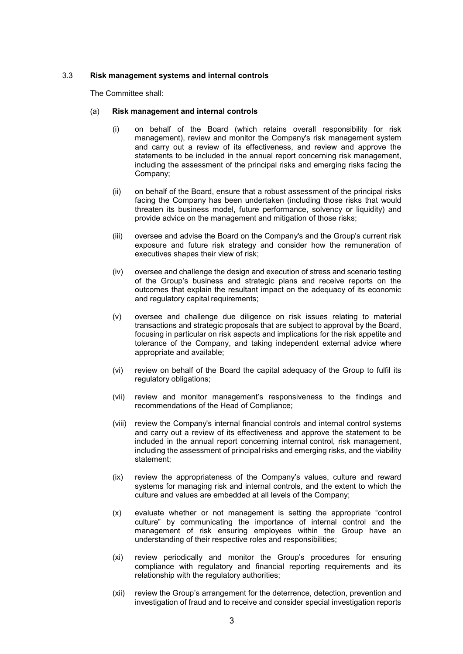## 3.3 **Risk management systems and internal controls**

The Committee shall:

## (a) **Risk management and internal controls**

- (i) on behalf of the Board (which retains overall responsibility for risk management), review and monitor the Company's risk management system and carry out a review of its effectiveness, and review and approve the statements to be included in the annual report concerning risk management, including the assessment of the principal risks and emerging risks facing the Company;
- (ii) on behalf of the Board, ensure that a robust assessment of the principal risks facing the Company has been undertaken (including those risks that would threaten its business model, future performance, solvency or liquidity) and provide advice on the management and mitigation of those risks;
- (iii) oversee and advise the Board on the Company's and the Group's current risk exposure and future risk strategy and consider how the remuneration of executives shapes their view of risk;
- (iv) oversee and challenge the design and execution of stress and scenario testing of the Group's business and strategic plans and receive reports on the outcomes that explain the resultant impact on the adequacy of its economic and regulatory capital requirements;
- (v) oversee and challenge due diligence on risk issues relating to material transactions and strategic proposals that are subject to approval by the Board, focusing in particular on risk aspects and implications for the risk appetite and tolerance of the Company, and taking independent external advice where appropriate and available;
- (vi) review on behalf of the Board the capital adequacy of the Group to fulfil its regulatory obligations;
- (vii) review and monitor management's responsiveness to the findings and recommendations of the Head of Compliance;
- (viii) review the Company's internal financial controls and internal control systems and carry out a review of its effectiveness and approve the statement to be included in the annual report concerning internal control, risk management, including the assessment of principal risks and emerging risks, and the viability statement;
- (ix) review the appropriateness of the Company's values, culture and reward systems for managing risk and internal controls, and the extent to which the culture and values are embedded at all levels of the Company;
- (x) evaluate whether or not management is setting the appropriate "control culture" by communicating the importance of internal control and the management of risk ensuring employees within the Group have an understanding of their respective roles and responsibilities;
- (xi) review periodically and monitor the Group's procedures for ensuring compliance with regulatory and financial reporting requirements and its relationship with the regulatory authorities;
- (xii) review the Group's arrangement for the deterrence, detection, prevention and investigation of fraud and to receive and consider special investigation reports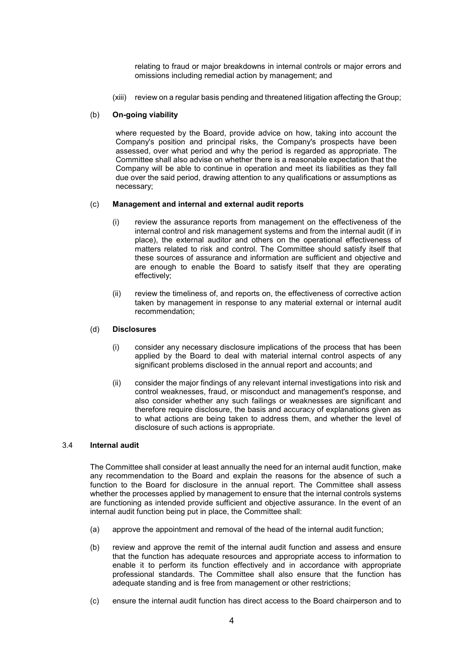relating to fraud or major breakdowns in internal controls or major errors and omissions including remedial action by management; and

(xiii) review on a regular basis pending and threatened litigation affecting the Group;

#### (b) **On-going viability**

where requested by the Board, provide advice on how, taking into account the Company's position and principal risks, the Company's prospects have been assessed, over what period and why the period is regarded as appropriate. The Committee shall also advise on whether there is a reasonable expectation that the Company will be able to continue in operation and meet its liabilities as they fall due over the said period, drawing attention to any qualifications or assumptions as necessary;

#### (c) **Management and internal and external audit reports**

- (i) review the assurance reports from management on the effectiveness of the internal control and risk management systems and from the internal audit (if in place), the external auditor and others on the operational effectiveness of matters related to risk and control. The Committee should satisfy itself that these sources of assurance and information are sufficient and objective and are enough to enable the Board to satisfy itself that they are operating effectively;
- (ii) review the timeliness of, and reports on, the effectiveness of corrective action taken by management in response to any material external or internal audit recommendation;

#### (d) **Disclosures**

- (i) consider any necessary disclosure implications of the process that has been applied by the Board to deal with material internal control aspects of any significant problems disclosed in the annual report and accounts; and
- (ii) consider the major findings of any relevant internal investigations into risk and control weaknesses, fraud, or misconduct and management's response, and also consider whether any such failings or weaknesses are significant and therefore require disclosure, the basis and accuracy of explanations given as to what actions are being taken to address them, and whether the level of disclosure of such actions is appropriate.

## 3.4 **Internal audit**

The Committee shall consider at least annually the need for an internal audit function, make any recommendation to the Board and explain the reasons for the absence of such a function to the Board for disclosure in the annual report. The Committee shall assess whether the processes applied by management to ensure that the internal controls systems are functioning as intended provide sufficient and objective assurance. In the event of an internal audit function being put in place, the Committee shall:

- (a) approve the appointment and removal of the head of the internal audit function;
- (b) review and approve the remit of the internal audit function and assess and ensure that the function has adequate resources and appropriate access to information to enable it to perform its function effectively and in accordance with appropriate professional standards. The Committee shall also ensure that the function has adequate standing and is free from management or other restrictions;
- (c) ensure the internal audit function has direct access to the Board chairperson and to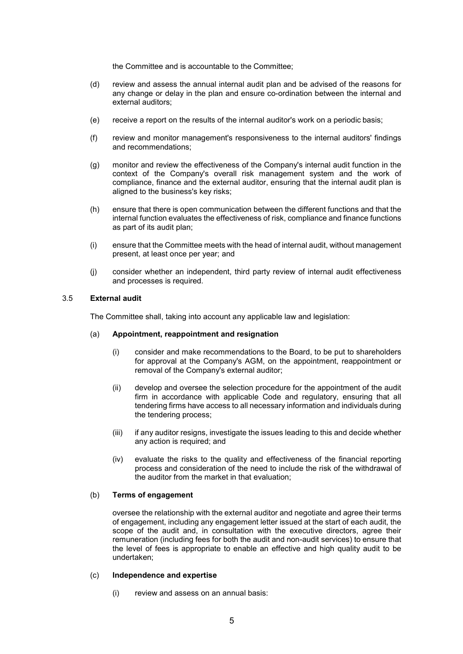the Committee and is accountable to the Committee;

- (d) review and assess the annual internal audit plan and be advised of the reasons for any change or delay in the plan and ensure co-ordination between the internal and external auditors;
- (e) receive a report on the results of the internal auditor's work on a periodic basis;
- (f) review and monitor management's responsiveness to the internal auditors' findings and recommendations;
- (g) monitor and review the effectiveness of the Company's internal audit function in the context of the Company's overall risk management system and the work of compliance, finance and the external auditor, ensuring that the internal audit plan is aligned to the business's key risks;
- (h) ensure that there is open communication between the different functions and that the internal function evaluates the effectiveness of risk, compliance and finance functions as part of its audit plan;
- (i) ensure that the Committee meets with the head of internal audit, without management present, at least once per year; and
- (j) consider whether an independent, third party review of internal audit effectiveness and processes is required.

#### 3.5 **External audit**

The Committee shall, taking into account any applicable law and legislation:

#### (a) **Appointment, reappointment and resignation**

- (i) consider and make recommendations to the Board, to be put to shareholders for approval at the Company's AGM, on the appointment, reappointment or removal of the Company's external auditor;
- (ii) develop and oversee the selection procedure for the appointment of the audit firm in accordance with applicable Code and regulatory, ensuring that all tendering firms have access to all necessary information and individuals during the tendering process;
- (iii) if any auditor resigns, investigate the issues leading to this and decide whether any action is required; and
- (iv) evaluate the risks to the quality and effectiveness of the financial reporting process and consideration of the need to include the risk of the withdrawal of the auditor from the market in that evaluation;

#### (b) **Terms of engagement**

oversee the relationship with the external auditor and negotiate and agree their terms of engagement, including any engagement letter issued at the start of each audit, the scope of the audit and, in consultation with the executive directors, agree their remuneration (including fees for both the audit and non-audit services) to ensure that the level of fees is appropriate to enable an effective and high quality audit to be undertaken;

## (c) **Independence and expertise**

(i) review and assess on an annual basis: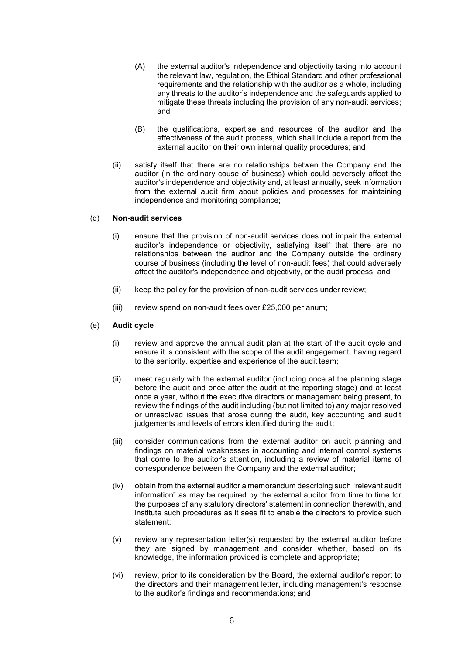- (A) the external auditor's independence and objectivity taking into account the relevant law, regulation, the Ethical Standard and other professional requirements and the relationship with the auditor as a whole, including any threats to the auditor's independence and the safeguards applied to mitigate these threats including the provision of any non-audit services; and
- (B) the qualifications, expertise and resources of the auditor and the effectiveness of the audit process, which shall include a report from the external auditor on their own internal quality procedures; and
- (ii) satisfy itself that there are no relationships betwen the Company and the auditor (in the ordinary couse of business) which could adversely affect the auditor's independence and objectivity and, at least annually, seek information from the external audit firm about policies and processes for maintaining independence and monitoring compliance;

#### (d) **Non-audit services**

- (i) ensure that the provision of non-audit services does not impair the external auditor's independence or objectivity, satisfying itself that there are no relationships between the auditor and the Company outside the ordinary course of business (including the level of non-audit fees) that could adversely affect the auditor's independence and objectivity, or the audit process; and
- (ii) keep the policy for the provision of non-audit services under review;
- (iii) review spend on non-audit fees over £25,000 per anum;

### (e) **Audit cycle**

- (i) review and approve the annual audit plan at the start of the audit cycle and ensure it is consistent with the scope of the audit engagement, having regard to the seniority, expertise and experience of the audit team;
- (ii) meet regularly with the external auditor (including once at the planning stage before the audit and once after the audit at the reporting stage) and at least once a year, without the executive directors or management being present, to review the findings of the audit including (but not limited to) any major resolved or unresolved issues that arose during the audit, key accounting and audit judgements and levels of errors identified during the audit;
- (iii) consider communications from the external auditor on audit planning and findings on material weaknesses in accounting and internal control systems that come to the auditor's attention, including a review of material items of correspondence between the Company and the external auditor;
- (iv) obtain from the external auditor a memorandum describing such "relevant audit information" as may be required by the external auditor from time to time for the purposes of any statutory directors' statement in connection therewith, and institute such procedures as it sees fit to enable the directors to provide such statement;
- (v) review any representation letter(s) requested by the external auditor before they are signed by management and consider whether, based on its knowledge, the information provided is complete and appropriate;
- (vi) review, prior to its consideration by the Board, the external auditor's report to the directors and their management letter, including management's response to the auditor's findings and recommendations; and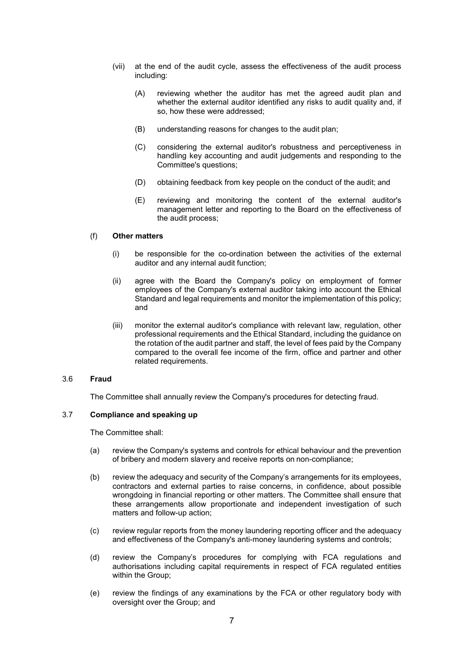- (vii) at the end of the audit cycle, assess the effectiveness of the audit process including:
	- (A) reviewing whether the auditor has met the agreed audit plan and whether the external auditor identified any risks to audit quality and, if so, how these were addressed;
	- (B) understanding reasons for changes to the audit plan;
	- (C) considering the external auditor's robustness and perceptiveness in handling key accounting and audit judgements and responding to the Committee's questions;
	- (D) obtaining feedback from key people on the conduct of the audit; and
	- (E) reviewing and monitoring the content of the external auditor's management letter and reporting to the Board on the effectiveness of the audit process;

#### (f) **Other matters**

- (i) be responsible for the co-ordination between the activities of the external auditor and any internal audit function;
- (ii) agree with the Board the Company's policy on employment of former employees of the Company's external auditor taking into account the Ethical Standard and legal requirements and monitor the implementation of this policy; and
- (iii) monitor the external auditor's compliance with relevant law, regulation, other professional requirements and the Ethical Standard, including the guidance on the rotation of the audit partner and staff, the level of fees paid by the Company compared to the overall fee income of the firm, office and partner and other related requirements.

## 3.6 **Fraud**

The Committee shall annually review the Company's procedures for detecting fraud.

## 3.7 **Compliance and speaking up**

The Committee shall:

- (a) review the Company's systems and controls for ethical behaviour and the prevention of bribery and modern slavery and receive reports on non-compliance;
- (b) review the adequacy and security of the Company's arrangements for its employees, contractors and external parties to raise concerns, in confidence, about possible wrongdoing in financial reporting or other matters. The Committee shall ensure that these arrangements allow proportionate and independent investigation of such matters and follow-up action;
- (c) review regular reports from the money laundering reporting officer and the adequacy and effectiveness of the Company's anti-money laundering systems and controls;
- (d) review the Company's procedures for complying with FCA regulations and authorisations including capital requirements in respect of FCA regulated entities within the Group;
- (e) review the findings of any examinations by the FCA or other regulatory body with oversight over the Group; and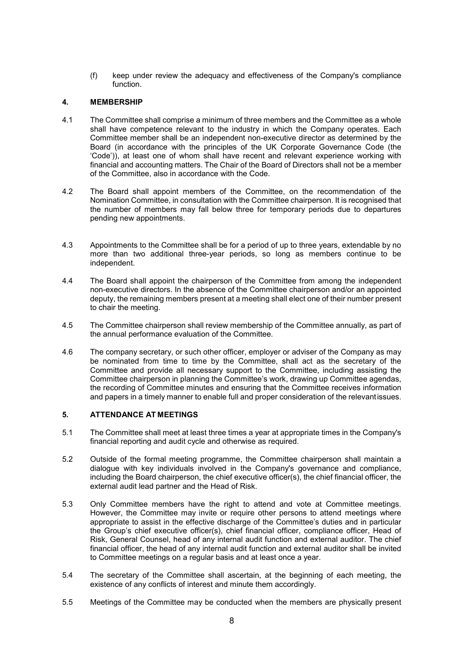(f) keep under review the adequacy and effectiveness of the Company's compliance function.

# **4. MEMBERSHIP**

- 4.1 The Committee shall comprise a minimum of three members and the Committee as a whole shall have competence relevant to the industry in which the Company operates. Each Committee member shall be an independent non-executive director as determined by the Board (in accordance with the principles of the UK Corporate Governance Code (the 'Code')), at least one of whom shall have recent and relevant experience working with financial and accounting matters. The Chair of the Board of Directors shall not be a member of the Committee, also in accordance with the Code.
- 4.2 The Board shall appoint members of the Committee, on the recommendation of the Nomination Committee, in consultation with the Committee chairperson. It is recognised that the number of members may fall below three for temporary periods due to departures pending new appointments.
- 4.3 Appointments to the Committee shall be for a period of up to three years, extendable by no more than two additional three-year periods, so long as members continue to be independent.
- 4.4 The Board shall appoint the chairperson of the Committee from among the independent non-executive directors. In the absence of the Committee chairperson and/or an appointed deputy, the remaining members present at a meeting shall elect one of their number present to chair the meeting.
- 4.5 The Committee chairperson shall review membership of the Committee annually, as part of the annual performance evaluation of the Committee.
- 4.6 The company secretary, or such other officer, employer or adviser of the Company as may be nominated from time to time by the Committee, shall act as the secretary of the Committee and provide all necessary support to the Committee, including assisting the Committee chairperson in planning the Committee's work, drawing up Committee agendas, the recording of Committee minutes and ensuring that the Committee receives information and papers in a timely manner to enable full and proper consideration of the relevantissues.

#### **5. ATTENDANCE AT MEETINGS**

- 5.1 The Committee shall meet at least three times a year at appropriate times in the Company's financial reporting and audit cycle and otherwise as required.
- 5.2 Outside of the formal meeting programme, the Committee chairperson shall maintain a dialogue with key individuals involved in the Company's governance and compliance, including the Board chairperson, the chief executive officer(s), the chief financial officer, the external audit lead partner and the Head of Risk.
- 5.3 Only Committee members have the right to attend and vote at Committee meetings. However, the Committee may invite or require other persons to attend meetings where appropriate to assist in the effective discharge of the Committee's duties and in particular the Group's chief executive officer(s), chief financial officer, compliance officer, Head of Risk, General Counsel, head of any internal audit function and external auditor. The chief financial officer, the head of any internal audit function and external auditor shall be invited to Committee meetings on a regular basis and at least once a year.
- 5.4 The secretary of the Committee shall ascertain, at the beginning of each meeting, the existence of any conflicts of interest and minute them accordingly.
- 5.5 Meetings of the Committee may be conducted when the members are physically present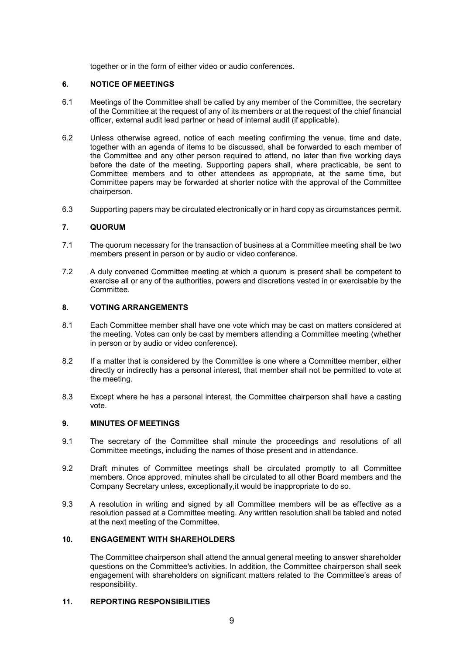together or in the form of either video or audio conferences.

## **6. NOTICE OF MEETINGS**

- 6.1 Meetings of the Committee shall be called by any member of the Committee, the secretary of the Committee at the request of any of its members or at the request of the chief financial officer, external audit lead partner or head of internal audit (if applicable).
- 6.2 Unless otherwise agreed, notice of each meeting confirming the venue, time and date, together with an agenda of items to be discussed, shall be forwarded to each member of the Committee and any other person required to attend, no later than five working days before the date of the meeting. Supporting papers shall, where practicable, be sent to Committee members and to other attendees as appropriate, at the same time, but Committee papers may be forwarded at shorter notice with the approval of the Committee chairperson.
- 6.3 Supporting papers may be circulated electronically or in hard copy as circumstances permit.

## **7. QUORUM**

- 7.1 The quorum necessary for the transaction of business at a Committee meeting shall be two members present in person or by audio or video conference.
- 7.2 A duly convened Committee meeting at which a quorum is present shall be competent to exercise all or any of the authorities, powers and discretions vested in or exercisable by the Committee.

## **8. VOTING ARRANGEMENTS**

- 8.1 Each Committee member shall have one vote which may be cast on matters considered at the meeting. Votes can only be cast by members attending a Committee meeting (whether in person or by audio or video conference).
- 8.2 If a matter that is considered by the Committee is one where a Committee member, either directly or indirectly has a personal interest, that member shall not be permitted to vote at the meeting.
- 8.3 Except where he has a personal interest, the Committee chairperson shall have a casting vote.

## **9. MINUTES OF MEETINGS**

- 9.1 The secretary of the Committee shall minute the proceedings and resolutions of all Committee meetings, including the names of those present and in attendance.
- 9.2 Draft minutes of Committee meetings shall be circulated promptly to all Committee members. Once approved, minutes shall be circulated to all other Board members and the Company Secretary unless, exceptionally,it would be inappropriate to do so.
- 9.3 A resolution in writing and signed by all Committee members will be as effective as a resolution passed at a Committee meeting. Any written resolution shall be tabled and noted at the next meeting of the Committee.

# **10. ENGAGEMENT WITH SHAREHOLDERS**

The Committee chairperson shall attend the annual general meeting to answer shareholder questions on the Committee's activities. In addition, the Committee chairperson shall seek engagement with shareholders on significant matters related to the Committee's areas of responsibility.

## **11. REPORTING RESPONSIBILITIES**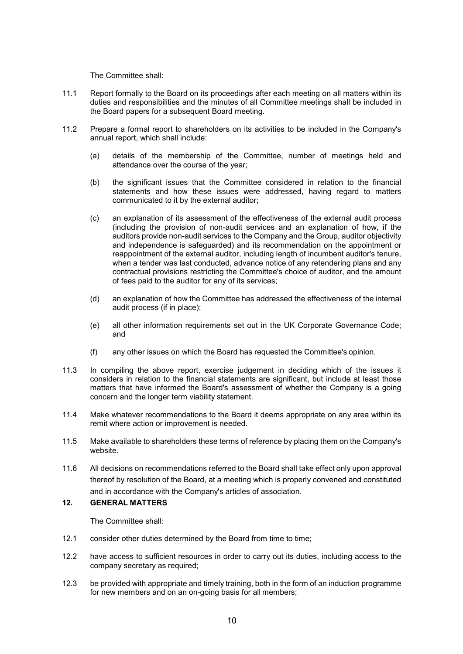The Committee shall:

- 11.1 Report formally to the Board on its proceedings after each meeting on all matters within its duties and responsibilities and the minutes of all Committee meetings shall be included in the Board papers for a subsequent Board meeting.
- 11.2 Prepare a formal report to shareholders on its activities to be included in the Company's annual report, which shall include:
	- (a) details of the membership of the Committee, number of meetings held and attendance over the course of the year;
	- (b) the significant issues that the Committee considered in relation to the financial statements and how these issues were addressed, having regard to matters communicated to it by the external auditor;
	- (c) an explanation of its assessment of the effectiveness of the external audit process (including the provision of non-audit services and an explanation of how, if the auditors provide non-audit services to the Company and the Group, auditor objectivity and independence is safeguarded) and its recommendation on the appointment or reappointment of the external auditor, including length of incumbent auditor's tenure, when a tender was last conducted, advance notice of any retendering plans and any contractual provisions restricting the Committee's choice of auditor, and the amount of fees paid to the auditor for any of its services;
	- (d) an explanation of how the Committee has addressed the effectiveness of the internal audit process (if in place);
	- (e) all other information requirements set out in the UK Corporate Governance Code; and
	- (f) any other issues on which the Board has requested the Committee's opinion.
- 11.3 In compiling the above report, exercise judgement in deciding which of the issues it considers in relation to the financial statements are significant, but include at least those matters that have informed the Board's assessment of whether the Company is a going concern and the longer term viability statement.
- 11.4 Make whatever recommendations to the Board it deems appropriate on any area within its remit where action or improvement is needed.
- 11.5 Make available to shareholders these terms of reference by placing them on the Company's website.
- 11.6 All decisions on recommendations referred to the Board shall take effect only upon approval thereof by resolution of the Board, at a meeting which is properly convened and constituted and in accordance with the Company's articles of association.

# **12. GENERAL MATTERS**

The Committee shall:

- 12.1 consider other duties determined by the Board from time to time;
- 12.2 have access to sufficient resources in order to carry out its duties, including access to the company secretary as required;
- 12.3 be provided with appropriate and timely training, both in the form of an induction programme for new members and on an on-going basis for all members;